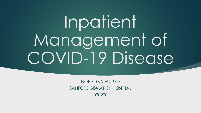# Inpatient Management of COVID-19 Disease

NOE B. MATEO, MD SANFORD BISMARCK HOSPITAL 090220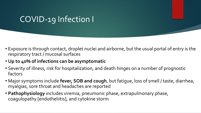#### COVID-19 Infection I

- Exposure is through contact, droplet nuclei and airborne, but the usual portal of entry is the respiratory tract / mucosal surfaces
- **Up to 40% of infections can be asymptomatic**
- Severity of illness, risk for hospitalization, and death hinges on a number of prognostic factors
- Major symptoms include **fever, SOB and cough**, but fatigue, loss of smell / taste, diarrhea, myalgias, sore throat and headaches are reported
- **Pathophysiology** includes viremia, pneumonic phase, extrapulmonary phase, coagulopathy [endotheliitis], and cytokine storm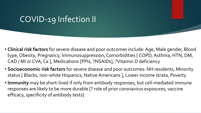#### COVID-19 Infection II

- **Clinical risk factors** for severe disease and poor outcomes include: Age, Male gender, Blood type, Obesity, Pregnancy, Immunosuppression, Comorbidities [ COPD, Asthma, HTN, DM, CAD / MI or CVA, Ca ], Medications [PPIs, ?NSAIDs], ?Vitamin D deficiency
- **Socioeconomic risk factors** for severe disease and poor outcomes: NH residents, Minority status [ Blacks, non-white Hispanics, Native Americans ], Lower income strata, Poverty
- **Immunity** may be short-lived if only from antibody responses, but cell-mediated immune responses are likely to be more durable [? role of prior coronavirus exposures, vaccine efficacy, specificity of antibody tests]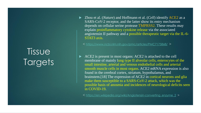## Tissue **Targets**

► Zhou et al. (*Nature*) and Hoffmann et al. (*Cell*) identify ACE2 as a SARS-CoV-2 receptor, and the latter show its entry mechanism depends on cellular serine protease TMPRSS2. These results may explain proinflammatory cytokine release via the associated angiotensin II pathway and a possible therapeutic target via the IL-6- STAT3 axis.

< <https://www.ncbi.nlm.nih.gov/pmc/articles/PMC7175868/> >

 ACE2 is present in most organs: ACE2 is attached to the cell membrane of mainly lung type II alveolar cells, enterocytes of the small intestine, arterial and venous endothelial cells and arterial smooth muscle cells in most organs. ACE2 mRNA expression is also found in the cerebral cortex, striatum, hypothalamus, and brainstem.[18] The expression of ACE2 in cortical neurons and glia make them susceptible to a SARS-CoV-2 attack, which was the possible basis of anosmia and incidences of neurological deficits seen in COVID-19.

< [https://en.wikipedia.org/wiki/Angiotensin-converting\\_enzyme\\_2](https://en.wikipedia.org/wiki/Angiotensin-converting_enzyme_2) >